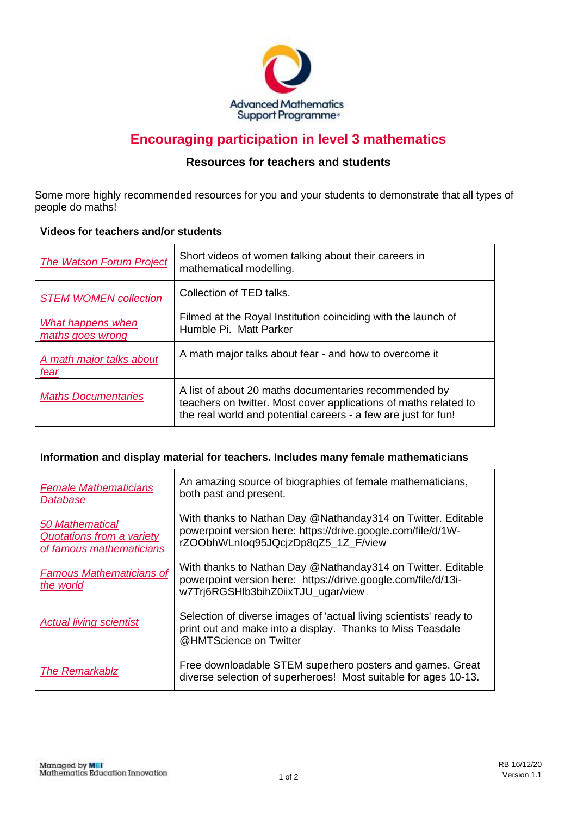

# **Encouraging participation in level 3 mathematics**

# **Resources for teachers and students**

Some more highly recommended resources for you and your students to demonstrate that all types of people do maths!

### **Videos for teachers and/or students**

| <b>The Watson Forum Project</b>       | Short videos of women talking about their careers in<br>mathematical modelling.                                                                                                             |
|---------------------------------------|---------------------------------------------------------------------------------------------------------------------------------------------------------------------------------------------|
| <b>STEM WOMEN collection</b>          | Collection of TED talks.                                                                                                                                                                    |
| What happens when<br>maths goes wrong | Filmed at the Royal Institution coinciding with the launch of<br>Humble Pi. Matt Parker                                                                                                     |
| A math major talks about<br>fear      | A math major talks about fear - and how to overcome it                                                                                                                                      |
| <b>Maths Documentaries</b>            | A list of about 20 maths documentaries recommended by<br>teachers on twitter. Most cover applications of maths related to<br>the real world and potential careers - a few are just for fun! |

#### **Information and display material for teachers. Includes many female mathematicians**

| <b>Female Mathematicians</b><br>Database                                        | An amazing source of biographies of female mathematicians,<br>both past and present.                                                                                |
|---------------------------------------------------------------------------------|---------------------------------------------------------------------------------------------------------------------------------------------------------------------|
| <b>50 Mathematical</b><br>Quotations from a variety<br>of famous mathematicians | With thanks to Nathan Day @Nathanday314 on Twitter. Editable<br>powerpoint version here: https://drive.google.com/file/d/1W-<br>rZOObhWLnlog95JQcjzDp8qZ5 1Z F/view |
| <b>Famous Mathematicians of</b><br>the world                                    | With thanks to Nathan Day @Nathanday314 on Twitter. Editable<br>powerpoint version here: https://drive.google.com/file/d/13i-<br>w7Trj6RGSHlb3bihZ0iixTJU ugar/view |
| <b>Actual living scientist</b>                                                  | Selection of diverse images of 'actual living scientists' ready to<br>print out and make into a display. Thanks to Miss Teasdale<br>@HMTScience on Twitter          |
| <b>The Remarkablz</b>                                                           | Free downloadable STEM superhero posters and games. Great<br>diverse selection of superheroes! Most suitable for ages 10-13.                                        |